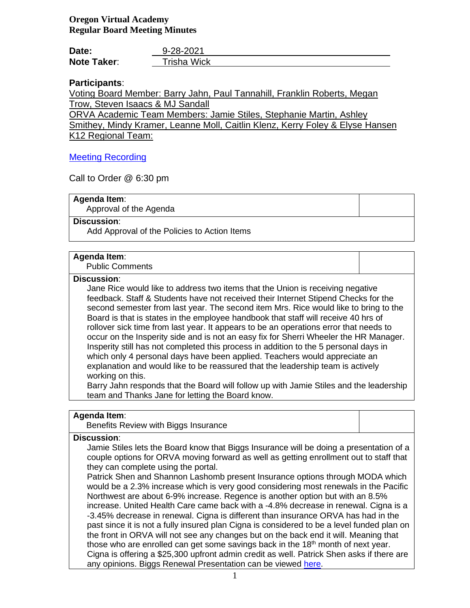# **Oregon Virtual Academy Regular Board Meeting Minutes**

| Date:              | 9-28-2021   |
|--------------------|-------------|
| <b>Note Taker:</b> | Trisha Wick |

# **Participants**:

Voting Board Member: Barry Jahn, Paul Tannahill, Franklin Roberts, Megan Trow, Steven Isaacs & MJ Sandall

ORVA Academic Team Members: Jamie Stiles, Stephanie Martin, Ashley Smithey, Mindy Kramer, Leanne Moll, Caitlin Klenz, Kerry Foley & Elyse Hansen K12 Regional Team:

## [Meeting Recording](https://k12inc-my.sharepoint.com/:v:/r/personal/twick_oregonva_org/Documents/Accounts%20Payable%20Specialist/Documents/ORVA%20Board/Board%20Packets%2021-22/3-September%202021/Regular%20Board%20Meeting%209-28-21/zoom_0.mp4?csf=1&web=1)

Call to Order @ 6:30 pm

## **Agenda Item**:

Approval of the Agenda

## **Discussion**:

Add Approval of the Policies to Action Items

## **Agenda Item**:

Public Comments

### **Discussion**:

Jane Rice would like to address two items that the Union is receiving negative feedback. Staff & Students have not received their Internet Stipend Checks for the second semester from last year. The second item Mrs. Rice would like to bring to the Board is that is states in the employee handbook that staff will receive 40 hrs of rollover sick time from last year. It appears to be an operations error that needs to occur on the Insperity side and is not an easy fix for Sherri Wheeler the HR Manager. Insperity still has not completed this process in addition to the 5 personal days in which only 4 personal days have been applied. Teachers would appreciate an explanation and would like to be reassured that the leadership team is actively working on this.

Barry Jahn responds that the Board will follow up with Jamie Stiles and the leadership team and Thanks Jane for letting the Board know.

## **Agenda Item**:

Benefits Review with Biggs Insurance

### **Discussion**:

Jamie Stiles lets the Board know that Biggs Insurance will be doing a presentation of a couple options for ORVA moving forward as well as getting enrollment out to staff that they can complete using the portal.

Patrick Shen and Shannon Lashomb present Insurance options through MODA which would be a 2.3% increase which is very good considering most renewals in the Pacific Northwest are about 6-9% increase. Regence is another option but with an 8.5% increase. United Health Care came back with a -4.8% decrease in renewal. Cigna is a -3.45% decrease in renewal. Cigna is different than insurance ORVA has had in the past since it is not a fully insured plan Cigna is considered to be a level funded plan on the front in ORVA will not see any changes but on the back end it will. Meaning that those who are enrolled can get some savings back in the  $18<sup>th</sup>$  month of next year. Cigna is offering a \$25,300 upfront admin credit as well. Patrick Shen asks if there are any opinions. Biggs Renewal Presentation can be viewed [here.](https://k12inc-my.sharepoint.com/:b:/g/personal/twick_oregonva_org/ERWa7MYoKSRHpE9NhKuKoo8BdrOl3vQVSKGOYJv6gocCaA)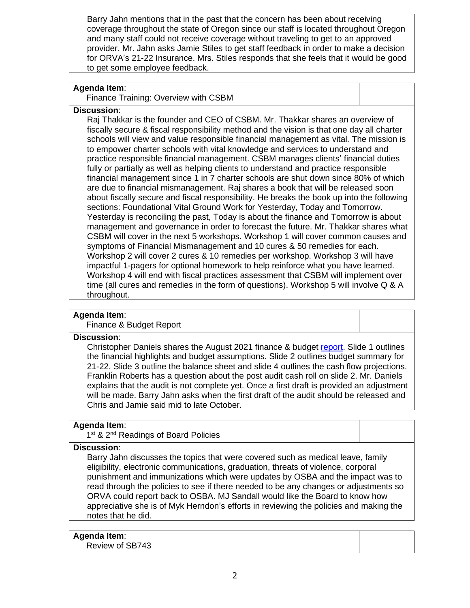Barry Jahn mentions that in the past that the concern has been about receiving coverage throughout the state of Oregon since our staff is located throughout Oregon and many staff could not receive coverage without traveling to get to an approved provider. Mr. Jahn asks Jamie Stiles to get staff feedback in order to make a decision for ORVA's 21-22 Insurance. Mrs. Stiles responds that she feels that it would be good to get some employee feedback.

## **Agenda Item**:

Finance Training: Overview with CSBM

## **Discussion**:

Raj Thakkar is the founder and CEO of CSBM. Mr. Thakkar shares an overview of fiscally secure & fiscal responsibility method and the vision is that one day all charter schools will view and value responsible financial management as vital. The mission is to empower charter schools with vital knowledge and services to understand and practice responsible financial management. CSBM manages clients' financial duties fully or partially as well as helping clients to understand and practice responsible financial management since 1 in 7 charter schools are shut down since 80% of which are due to financial mismanagement. Raj shares a book that will be released soon about fiscally secure and fiscal responsibility. He breaks the book up into the following sections: Foundational Vital Ground Work for Yesterday, Today and Tomorrow. Yesterday is reconciling the past, Today is about the finance and Tomorrow is about management and governance in order to forecast the future. Mr. Thakkar shares what CSBM will cover in the next 5 workshops. Workshop 1 will cover common causes and symptoms of Financial Mismanagement and 10 cures & 50 remedies for each. Workshop 2 will cover 2 cures & 10 remedies per workshop. Workshop 3 will have impactful 1-pagers for optional homework to help reinforce what you have learned. Workshop 4 will end with fiscal practices assessment that CSBM will implement over time (all cures and remedies in the form of questions). Workshop 5 will involve Q & A throughout.

## **Agenda Item**:

## Finance & Budget Report

### **Discussion**:

Christopher Daniels shares the August 2021 finance & budget [report.](https://k12inc-my.sharepoint.com/:p:/g/personal/twick_oregonva_org/Ebm0CIo7IFlGvr0wgkeihqEBrC-UK8ViwKk0_hNaaPGJfQ) Slide 1 outlines the financial highlights and budget assumptions. Slide 2 outlines budget summary for 21-22. Slide 3 outline the balance sheet and slide 4 outlines the cash flow projections. Franklin Roberts has a question about the post audit cash roll on slide 2. Mr. Daniels explains that the audit is not complete yet. Once a first draft is provided an adjustment will be made. Barry Jahn asks when the first draft of the audit should be released and Chris and Jamie said mid to late October.

### **Agenda Item**:

1<sup>st</sup> & 2<sup>nd</sup> Readings of Board Policies

## **Discussion**:

Barry Jahn discusses the topics that were covered such as medical leave, family eligibility, electronic communications, graduation, threats of violence, corporal punishment and immunizations which were updates by OSBA and the impact was to read through the policies to see if there needed to be any changes or adjustments so ORVA could report back to OSBA. MJ Sandall would like the Board to know how appreciative she is of Myk Herndon's efforts in reviewing the policies and making the notes that he did.

# **Agenda Item**:

Review of SB743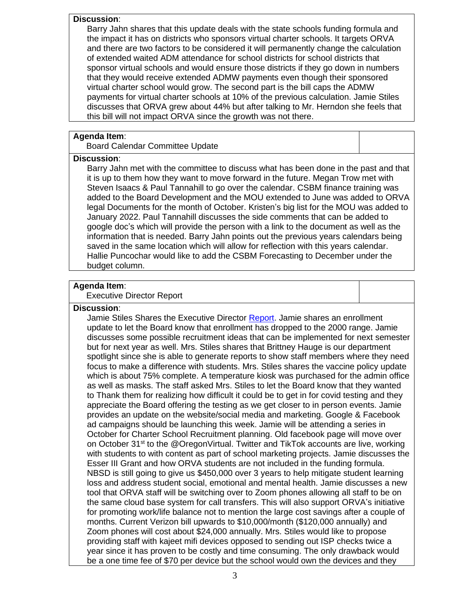#### **Discussion**:

Barry Jahn shares that this update deals with the state schools funding formula and the impact it has on districts who sponsors virtual charter schools. It targets ORVA and there are two factors to be considered it will permanently change the calculation of extended waited ADM attendance for school districts for school districts that sponsor virtual schools and would ensure those districts if they go down in numbers that they would receive extended ADMW payments even though their sponsored virtual charter school would grow. The second part is the bill caps the ADMW payments for virtual charter schools at 10% of the previous calculation. Jamie Stiles discusses that ORVA grew about 44% but after talking to Mr. Herndon she feels that this bill will not impact ORVA since the growth was not there.

## **Agenda Item**:

Board Calendar Committee Update

### **Discussion**:

Barry Jahn met with the committee to discuss what has been done in the past and that it is up to them how they want to move forward in the future. Megan Trow met with Steven Isaacs & Paul Tannahill to go over the calendar. CSBM finance training was added to the Board Development and the MOU extended to June was added to ORVA legal Documents for the month of October. Kristen's big list for the MOU was added to January 2022. Paul Tannahill discusses the side comments that can be added to google doc's which will provide the person with a link to the document as well as the information that is needed. Barry Jahn points out the previous years calendars being saved in the same location which will allow for reflection with this years calendar. Hallie Puncochar would like to add the CSBM Forecasting to December under the budget column.

## **Agenda Item**:

Executive Director Report

## **Discussion**:

Jamie Stiles Shares the Executive Director [Report.](https://k12inc-my.sharepoint.com/:p:/g/personal/twick_oregonva_org/EaKiL7cndIxOphdJv_PNq4oB230TNELGMhAWJ1BUV4R51g) Jamie shares an enrollment update to let the Board know that enrollment has dropped to the 2000 range. Jamie discusses some possible recruitment ideas that can be implemented for next semester but for next year as well. Mrs. Stiles shares that Brittney Hauge is our department spotlight since she is able to generate reports to show staff members where they need focus to make a difference with students. Mrs. Stiles shares the vaccine policy update which is about 75% complete. A temperature kiosk was purchased for the admin office as well as masks. The staff asked Mrs. Stiles to let the Board know that they wanted to Thank them for realizing how difficult it could be to get in for covid testing and they appreciate the Board offering the testing as we get closer to in person events. Jamie provides an update on the website/social media and marketing. Google & Facebook ad campaigns should be launching this week. Jamie will be attending a series in October for Charter School Recruitment planning. Old facebook page will move over on October 31<sup>st</sup> to the @OregonVirtual. Twitter and TikTok accounts are live, working with students to with content as part of school marketing projects. Jamie discusses the Esser III Grant and how ORVA students are not included in the funding formula. NBSD is still going to give us \$450,000 over 3 years to help mitigate student learning loss and address student social, emotional and mental health. Jamie discusses a new tool that ORVA staff will be switching over to Zoom phones allowing all staff to be on the same cloud base system for call transfers. This will also support ORVA's initiative for promoting work/life balance not to mention the large cost savings after a couple of months. Current Verizon bill upwards to \$10,000/month (\$120,000 annually) and Zoom phones will cost about \$24,000 annually. Mrs. Stiles would like to propose providing staff with kajeet mifi devices opposed to sending out ISP checks twice a year since it has proven to be costly and time consuming. The only drawback would be a one time fee of \$70 per device but the school would own the devices and they